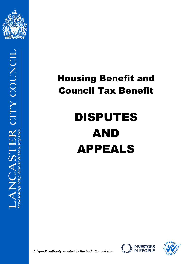



## Housing Benefit and Council Tax Benefit

# DISPUTES AND APPEALS





**A** "good" authority as rated by the Audit Commission A "good" authority as rated by the Audit Commission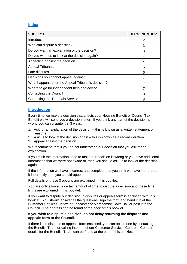#### **Index**

| <b>SUBJECT</b>                                     | <b>PAGE NUMBER</b> |
|----------------------------------------------------|--------------------|
| Introduction                                       | 2                  |
| Who can dispute a decision?                        | 3                  |
| Do you want an explanation of the decision?        | 3                  |
| Do you want us to look at the decision again?      | 4                  |
| Appealing against the decision                     | 4                  |
| <b>Appeal Tribunals</b>                            | 5                  |
| Late disputes                                      | 6                  |
| Decisions you cannot appeal against                |                    |
| What happens after the Appeal Tribunal's decision? |                    |
| Where to go for independent help and advice        |                    |
| <b>Contacting the Council</b>                      | 8                  |
| <b>Contacting the Tribunals Service</b>            | 8                  |

#### **Introduction**

Every time we make a decision that affects your Housing Benefit or Council Tax Benefit we will send you a decision letter. If you think any part of the decision is wrong you can dispute it in 3 ways:

- 1. Ask for an explanation of the decision this is known as a written statement of reasons.
- 2. Ask us to look at the decision again this is known as a reconsideration.
- 3. Appeal against the decision.

We recommend that if you do not understand our decision that you ask for an explanation.

If you think the information used to make our decision is wrong or you have additional information that we were not aware of, then you should ask us to look at the decision again.

If the information we have is correct and complete, but you think we have interpreted it incorrectly then you should appeal.

Full details of these 3 options are explained in this booklet.

You are only allowed a certain amount of time to dispute a decision and these time limits are explained in this booklet.

If you want to dispute our decision, a disputes or appeals form is enclosed with this booklet. You should answer all the questions, sign the form and hand it in at the Customer Services Centre at Lancaster or Morecambe Town Hall or post it to the Council. The address can be found at the back of this booklet.

#### **If you wish to dispute a decision, do not delay returning the disputes and appeals form to the Council.**

If there is no disputes or appeals form enclosed, you can obtain one by contacting the Benefits Team or calling into one of our Customer Services Centres. Contact details for the Benefits Team can be found at the end of this booklet.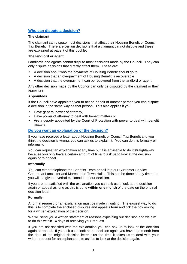#### **Who can dispute a decision?**

#### **The claimant**

The claimant can dispute most decisions that affect their Housing Benefit or Council Tax Benefit. There are certain decisions that a claimant cannot dispute and these are explained at page 7 of this booklet.

#### **The landlord or agent**

Landlords and agents cannot dispute most decisions made by the Council. They can only dispute decisions that directly affect them. These are:

- A decision about who the payments of Housing Benefit should go to
- A decision that an overpayment of Housing Benefit is recoverable
- A decision that the overpayment can be recovered from the landlord or agent

Any other decision made by the Council can only be disputed by the claimant or their appointee.

#### **Appointees**

If the Council have appointed you to act on behalf of another person you can dispute a decision in the same way as that person. This also applies if you:

- Have general power of attorney,
- Have power of attorney to deal with benefit matters or
- Are a deputy appointed by the Court of Protection with power to deal with benefit matters.

#### **Do you want an explanation of the decision?**

If you have received a letter about Housing Benefit or Council Tax Benefit and you think the decision is wrong, you can ask us to explain it. You can do this formally or informally.

You can request an explanation at any time but it is advisable to do it straightaway because you only have a certain amount of time to ask us to look at the decision again or to appeal.

#### **Informally**

You can either telephone the Benefits Team or call into our Customer Service Centres at Lancaster and Morecambe Town Halls. This can be done at any time and you will be given a verbal explanation of our decision.

If you are not satisfied with the explanation you can ask us to look at the decision again or appeal as long as this is done **within one month** of the date on the original decision letter.

#### **Formally**

A formal request for an explanation must be made in writing. The easiest way to do this is to complete the enclosed disputes and appeals form and tick the box asking for a written explanation of the decision.

We will send you a written statement of reasons explaining our decision and we aim to do this within 14 days of receiving your request.

If you are not satisfied with the explanation you can ask us to look at the decision again or appeal. If you ask us to look at the decision again you have one month from the date of the original decision letter plus the time it takes us to deal with your written request for an explanation, to ask us to look at the decision again.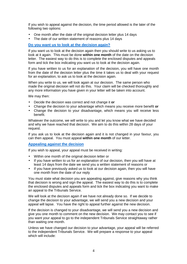If you wish to appeal against the decision, the time period allowed is the later of the following two options:

- One month after the date of the original decision letter plus 14 days
- The date of our written statement of reasons plus 14 days

#### **Do you want us to look at the decision again?**

If you want us to look at the decision again then you should write to us asking us to look at it again. This must be done **within one month** of the date on the decision letter. The easiest way to do this is to complete the enclosed disputes and appeals form and tick the box indicating you want us to look at the decision again.

If you have written to us for an explanation of the decision, you will have one month from the date of the decision letter plus the time it takes us to deal with your request for an explanation, to ask us to look at the decision again.

When you write to us, we will look again at our decision. The same person who made the original decision will not do this. Your claim will be checked thoroughly and any more information you have given in your letter will be taken into account.

We may then:

- Decide the decision was correct and not change it **or**
- Change the decision to your advantage which means you receive more benefit **or**
- Change the decision to your disadvantage, which means you will receive less benefit.

Whatever the outcome, we will write to you and let you know what we have decided and why we have reached that decision. We aim to do this within 28 days of your request.

If you ask us to look at the decision again and it is not changed in your favour, you can then appeal. You must appeal **within one month** of our letter.

#### **Appealing against the decision**

If you wish to appeal, your appeal must be received in writing:

- Within one month of the original decision letter or
- If you have written to us for an explanation of our decision, then you will have at least 14 days from the date we send you a written statement of reasons or
- If you have previously asked us to look at our decision again, then you will have one month from the date of our reply

You must state what decision you are appealing against, give reasons why you think that decision is wrong and sign the appeal. The easiest way to do this is to complete the enclosed disputes and appeals form and tick the box indicating you want to make an appeal to the Tribunals Service.

We will look at the decision again if we have not already done so. If we decide to change the decision to your advantage, we will send you a new decision and your appeal will lapse. You have the right to appeal further against the new decision.

If the decision is changed to your disadvantage, we will send you a new decision and give you one month to comment on the new decision. We may contact you to see if you want your appeal to go to the independent Tribunals Service straightaway rather than waiting one month.

Unless we have changed our decision to your advantage, your appeal will be referred to the independent Tribunals Service. We will prepare a response to your appeal which will include: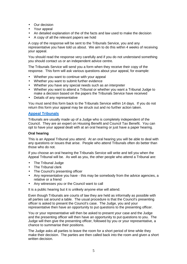- Our decision
- Your appeal
- An detailed explanation of the of the facts and law used to make the decision
- A copy of all the relevant papers we hold

A copy of the response will be sent to the Tribunals Service, you and any representative you have told us about. We aim to do this within 4 weeks of receiving your appeal.

You should read the response very carefully and if you do not understand something you should contact us or an independent advice centre.

The Tribunals Service will send you a form when they receive their copy of the response. This form will ask various questions about your appeal, for example:

- Whether you want to continue with your appeal
- Whether you want to submit further evidence
- Whether you have any special needs such as an interpreter
- Whether you want to attend a Tribunal or whether you want a Tribunal Judge to make a decision based on the papers the Tribunals Service have received
- Details of any representative

You must send this form back to the Tribunals Service within 14 days. If you do not return this form your appeal may be struck out and no further action taken.

#### **Appeal Tribunals**

Tribunals are usually made up of a Judge who is completely independent of the Council. They are an expert on Housing Benefit and Council Tax Benefit. You can opt to have your appeal dealt with at an oral hearing or just have a paper hearing.

#### **Oral hearing**

This is an Appeal Tribunal you attend. At an oral hearing you will be able to deal with any questions or issues that arise. People who attend Tribunals often do better than those who do not.

If you choose an oral hearing the Tribunals Service will write and tell you when the Appeal Tribunal will be. As well as you, the other people who attend a Tribunal are:

- The Tribunal Judge
- The Tribunal clerk
- The Council's presenting officer
- Any representative you have this may be somebody from the advice agencies, a relative or a friend
- Any witnesses you or the Council want to call

It is a public hearing but it is unlikely anyone else will attend.

Even though Tribunals are courts of law they are held as informally as possible with all parties sat around a table. The usual procedure is that the Council's presenting officer is asked to present the Council's case. The Judge, you and your representative then have an opportunity to put questions to the presenting officer.

You or your representative will then be asked to present your case and the Judge and the presenting officer will then have an opportunity to put questions to you. The Judge will then give the presenting officer, followed by you or your representative, a chance to summarise their positions.

The Judge asks all parties to leave the room for a short period of time while they make their decision. The parties are then called back into the room and given a short written decision.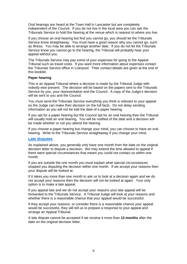Oral hearings are heard at the Town Hall in Lancaster but are completely independent of the Council. If you do not live in the local area you can ask the Tribunals Service to hold the hearing at the venue which is nearest to where you live.

If you choose an oral hearing but find you cannot go, you should let the Tribunals Service know straightaway. You must have a good reason why you cannot go, such as illness. You may be able to arrange another date. If you do not let the Tribunals Service know you cannot go to the hearing, the Tribunal will probably hear your appeal without you.

The Tribunals Service may pay some of your expenses for going to the Appeal Tribunal such as travel costs. If you want more information about expenses contact the Tribunals Service office in Liverpool. Their contact details are given at the end of this booklet.

#### **Paper hearing**

This is an Appeal Tribunal where a decision is made by the Tribunal Judge with nobody else present. The decision will be based on the papers sent to the Tribunals Service by you, your representative and the Council. A copy of the Judge's decision will be sent to you and the Council.

You must send the Tribunals Service everything you think is relevant to your appeal so the Judge can make their decision on the full facts. Do not delay sending information as you will not be told the date of a paper hearing.

If you opt for a paper hearing but the Council opt for an oral hearing then the Tribunal will usually hold an oral hearing. You will be notified of the date and a decision will be made whether or not you attend the hearing.

If you choose a paper hearing but change your mind, you can choose to have an oral hearing. Write to the Tribunals Service straightaway if you change your mind.

#### **Late disputes**

As explained above, you generally only have one month from the date on the original decision letter to dispute a decision. We may extend the time allowed to appeal if there were special circumstances that meant you could not contact us within one month.

If you are outside the one month you must explain what special circumstances stopped you disputing the decision within one month. If we accept your reasons then your dispute will be looked at.

If it takes you more than one month to ask us to look at a decision again and we do not accept your reasons then the decision will not be looked at again. Your only option is to make a late appeal.

If you appeal late and we do not accept your reasons your late appeal will be forwarded to the Tribunals Service. A Tribunal Judge will look at your reasons and whether there is a reasonable chance that your appeal would be successful.

If they accept your reasons, or consider there is a reasonable chance your appeal would be successful, they will tell us to prepare a response to your appeal and arrange an Appeal Tribunal.

A late dispute cannot be accepted if we receive it more than **13 months** after the date on the original decision letter.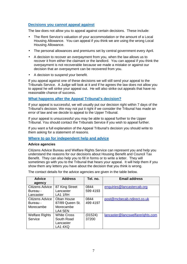#### **Decisions you cannot appeal against**

The law does not allow you to appeal against certain decisions. These include:

- The Rent Service's valuation of your accommodation or the amount of a Local Housing Allowance. You can appeal if you think we are using the wrong Local Housing Allowance.
- The personal allowances and premiums set by central government every April.
- A decision to recover an overpayment from you, when the law allows us to recover it from either the claimant or the landlord. You can appeal if you think the overpayment is not recoverable because we made a mistake or against our decision that an overpayment can be recovered from you.
- A decision to suspend your benefit.

If you appeal against one of these decisions we will still send your appeal to the Tribunals Service. A Judge will look at it and if he agrees the law does not allow you to appeal he will strike your appeal out. He will also strike out appeals that have no reasonable chance of success.

#### **What happens after the Appeal Tribunal's decision?**

If your appeal is successful, we will usually put our decision right within 7 days of the Tribunal's decision. We may not put it right if we consider the Tribunal has made an error of law and we decide to appeal to the Upper Tribunal.

If your appeal is unsuccessful you may be able to appeal further to the Upper Tribunal. You should contact the Tribunals Service if you wish to appeal further.

If you want a full explanation of the Appeal Tribunal's decision you should write to them asking for a statement of reasons.

#### **Where to go for independent help and advice**

#### **Advice agencies**

Citizens Advice Bureau and Welfare Rights Service can represent you and help you understand the reasons for our decisions about Housing Benefit and Council Tax Benefit. They can also help you to fill in forms or to write a letter. They will sometimes go with you to the Tribunal that hears your appeal. It will help them if you show them any letters you have about the decision that you think is wrong.

The contact details for the advice agencies are given in the table below.

| <b>Advice</b>         | <b>Address</b>     | Tel. no. | <b>Email address</b>             |
|-----------------------|--------------------|----------|----------------------------------|
| agency                |                    |          |                                  |
| Citizens Advice       | 87 King Street     | 0844     | enquiries@lancastercab.org       |
| Bureau -              | Lancaster          | 599 4193 |                                  |
| Lancaster             | LA1 1RH            |          |                                  |
| Citizens Advice       | Oban House         | 0844     | post@mcbecab.ndirect.co.uk       |
| Bureau -              | 87/89 Queen St.    | 499 4197 |                                  |
| Morecambe             | Morecambe          |          |                                  |
|                       | LA4 5EN            |          |                                  |
| <b>Welfare Rights</b> | <b>White Cross</b> | (01524)  | lancaster@lancswelfarerights.com |
| Service               | South Road         | 37200    |                                  |
|                       | Lancaster          |          |                                  |
|                       | LA1 4XQ            |          |                                  |